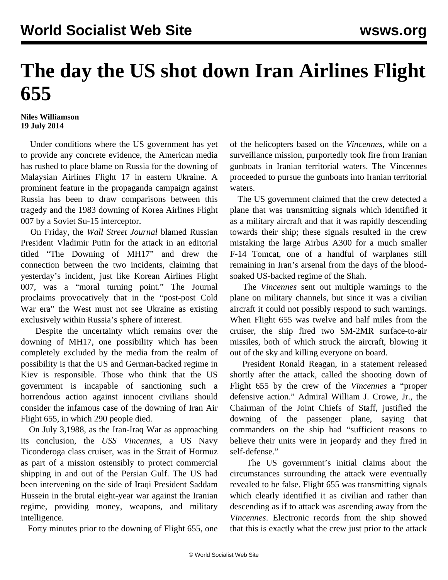## **The day the US shot down Iran Airlines Flight 655**

## **Niles Williamson 19 July 2014**

 Under conditions where the US government has yet to provide any concrete evidence, the American media has rushed to place blame on Russia for the downing of Malaysian Airlines Flight 17 in eastern Ukraine. A prominent feature in the propaganda campaign against Russia has been to draw comparisons between this tragedy and the 1983 downing of Korea Airlines Flight 007 by a Soviet Su-15 interceptor.

 On Friday, the *Wall Street Journal* blamed Russian President Vladimir Putin for the attack in an editorial titled "The Downing of MH17" and drew the connection between the two incidents, claiming that yesterday's incident, just like Korean Airlines Flight 007, was a "moral turning point." The Journal proclaims provocatively that in the "post-post Cold War era" the West must not see Ukraine as existing exclusively within Russia's sphere of interest.

 Despite the uncertainty which remains over the downing of MH17, one possibility which has been completely excluded by the media from the realm of possibility is that the US and German-backed regime in Kiev is responsible. Those who think that the US government is incapable of sanctioning such a horrendous action against innocent civilians should consider the infamous case of the downing of Iran Air Flight 655, in which 290 people died.

 On July 3,1988, as the Iran-Iraq War as approaching its conclusion, the *USS Vincennes*, a US Navy Ticonderoga class cruiser, was in the Strait of Hormuz as part of a mission ostensibly to protect commercial shipping in and out of the Persian Gulf. The US had been intervening on the side of Iraqi President Saddam Hussein in the brutal eight-year war against the Iranian regime, providing money, weapons, and military intelligence.

Forty minutes prior to the downing of Flight 655, one

of the helicopters based on the *Vincennes*, while on a surveillance mission, purportedly took fire from Iranian gunboats in Iranian territorial waters. The Vincennes proceeded to pursue the gunboats into Iranian territorial waters.

 The US government claimed that the crew detected a plane that was transmitting signals which identified it as a military aircraft and that it was rapidly descending towards their ship; these signals resulted in the crew mistaking the large Airbus A300 for a much smaller F-14 Tomcat, one of a handful of warplanes still remaining in Iran's arsenal from the days of the bloodsoaked US-backed regime of the Shah.

 The *Vincennes* sent out multiple warnings to the plane on military channels, but since it was a civilian aircraft it could not possibly respond to such warnings. When Flight 655 was twelve and half miles from the cruiser, the ship fired two SM-2MR surface-to-air missiles, both of which struck the aircraft, blowing it out of the sky and killing everyone on board.

 President Ronald Reagan, in a statement released shortly after the attack, called the shooting down of Flight 655 by the crew of the *Vincennes* a "proper defensive action." Admiral William J. Crowe, Jr., the Chairman of the Joint Chiefs of Staff, justified the downing of the passenger plane, saying that commanders on the ship had "sufficient reasons to believe their units were in jeopardy and they fired in self-defense."

 The US government's initial claims about the circumstances surrounding the attack were eventually revealed to be false. Flight 655 was transmitting signals which clearly identified it as civilian and rather than descending as if to attack was ascending away from the *Vincennes*. Electronic records from the ship showed that this is exactly what the crew just prior to the attack